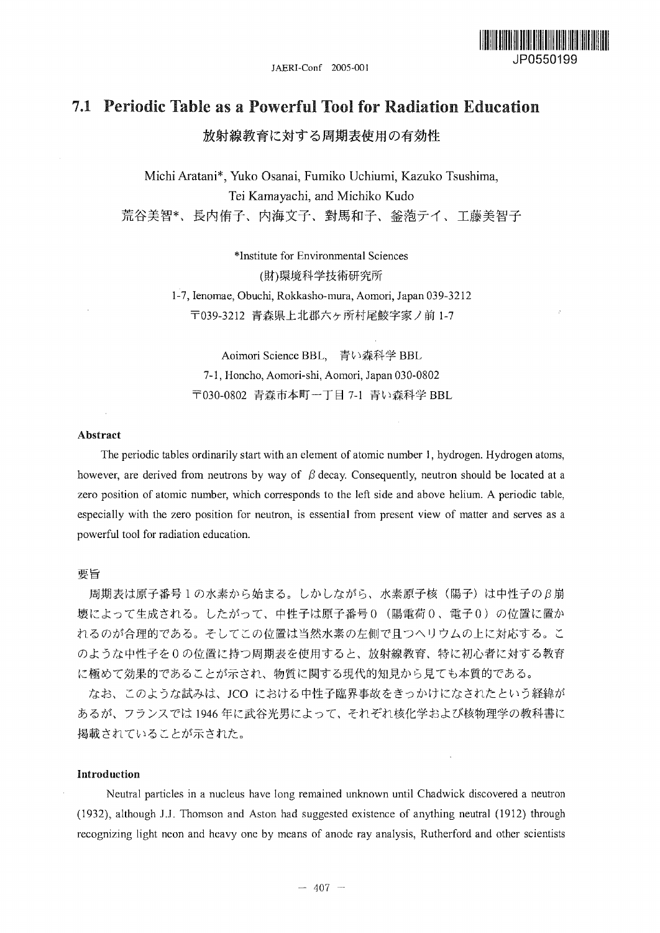JAERI-Conf 2005-001



# 7.1 Periodic Table as a Powerful Tool for Radiation Education

放射線教育に対する周期表使用の有効性

Michi Aratani\*, Yuko Osanai, Fumiko Uchiumi, Kazuko Tsushima, Tei Kamayachi, and Michiko Kudo 荒谷美智\*、長内侑子、内海文子、對馬和子、釜萢テイ、工藤美智子

> ^Institute for Environmental Sciences (財)環境科学技術研究所 1-7, Ienomae, Obuchi, Rokkasho-mura, Aomori, Japan 039-3212 〒039-3212 青森県上北郡六ヶ所村尾鮫字家ノ前 1-7

Aoimori Science BBL, 青い森科学 BBL 7-1, Honcho, Aomori-shi, Aomori, Japan 030-0802 〒030-0802 青森市本町一丁目 7-1 青い森科学 BBL

#### Abstract

The periodic tables ordinarily start with an element of atomic number 1, hydrogen. Hydrogen atoms, however, are derived from neutrons by way of  $\beta$  decay. Consequently, neutron should be located at a zero position of atomic number, which corresponds to the left side and above helium. A periodic table, especially with the zero position for neutron, is essential from present view of matter and serves as a powerful tool for radiation education.

## 要旨

周期表は原子番号1の水素から始まる。しかしながら、水素原子核(陽子)は中性子のB崩 壊によって生成される。したがって、中性子は原子番号0 (陽電荷0、電子0)の位置に置か れるのが合理的である。そしてこの位置は当然水素の左側で且つヘリウムの上に対応する。こ のような中性子を0の位置に持つ周期表を使用すると、放射線教育、特に初心者に対する教育 に極めて効果的であることが示され、物質に関する現代的知見から見ても本質的である。

なお、このような試みは、JCO における中性子臨界事故をきっかけになされたという経緯が あるが、フランスでは1946年に武谷光男によって、それぞれ核化学および核物理学の教科書に 掲載されていることが示された。

# Introduction

Neutral particles in a nucleus have long remained unknown until Chadwick discovered a neutron (1932), although J.J. Thomson and Aston had suggested existence of anything neutral (1912) through recognizing light neon and heavy one by means of anode ray analysis, Rutherford and other scientists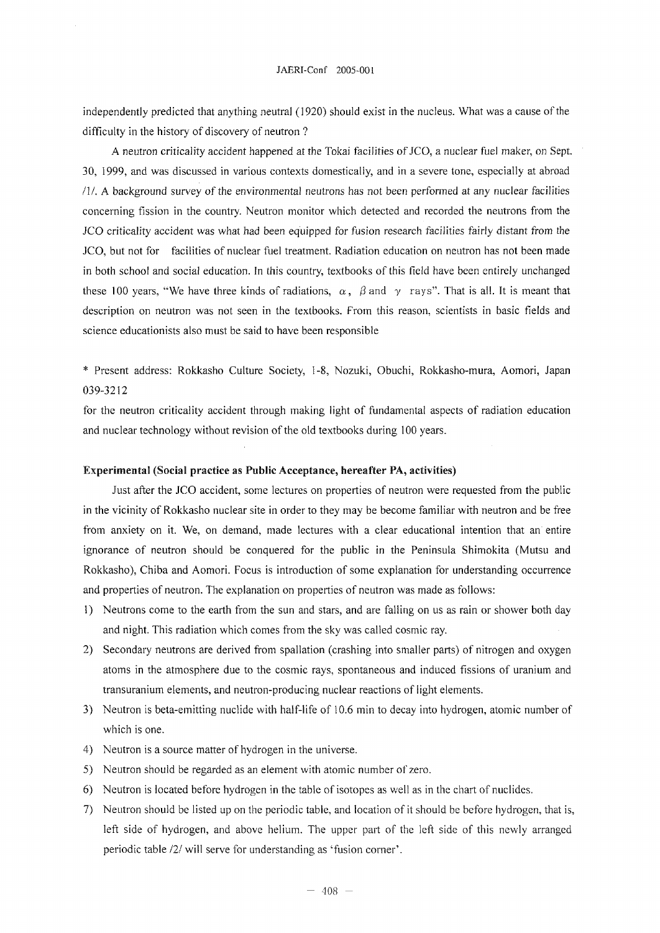independently predicted that anything neutral (1920) should exist in the nucleus. What was a cause of the difficulty in the history of discovery of neutron ?

A neutron criticality accident happened at the Tokai facilities of JCO, a nuclear fuel maker, on Sept. 30, 1999, and was discussed in various contexts domestically, and in a severe tone, especially at abroad /I/. A background survey of the environmental neutrons has not been performed at any nuclear facilities concerning fission in the country. Neutron monitor which detected and recorded the neutrons from the JCO criticality accident was what had been equipped for fusion research facilities fairly distant from the JCO, but not for facilities of nuclear fuel treatment. Radiation education on neutron has not been made in both school and social education. In this country, textbooks of this field have been entirely unchanged these 100 years, "We have three kinds of radiations,  $\alpha$ ,  $\beta$  and  $\gamma$  rays". That is all. It is meant that description on neutron was not seen in the textbooks. From this reason, scientists in basic fields and science educationists also must be said to have been responsible

\* Present address: Rokkasho Culture Society, 1-8, Nozukt, Obuchi, Rokkasho-mura, Aomori, Japan 039-3212

for the neutron criticality accident through making light of fundamental aspects of radiation education and nuclear technology without revision of the old textbooks during 100 years.

## Experimental (Social practice as Public Acceptance, hereafter PA, activities)

Just after the JCO accident, some lectures on properties of neutron were requested from the public in the vicinity of Rokkasho nuclear site in order to they may be become familiar with neutron and be free from anxiety on it. We, on demand, made lectures with a clear educational intention that an entire ignorance of neutron should be conquered for the public in the Peninsula Shimokita (Mutsu and Rokkasho), Chiba and Aomori. Focus is introduction of some explanation for understanding occurrence and properties of neutron. The explanation on properties of neutron was made as follows:

- 1) Neutrons come to the earth from the sun and stars, and are falling on us as rain or shower both day and night. This radiation which comes from the sky was called cosmic ray.
- 2) Secondary neutrons are derived from spallation (crashing into smaller parts) of nitrogen and oxygen atoms in the atmosphere due to the cosmic rays, spontaneous and induced fissions of uranium and transuranium elements, and neutron-producing nuclear reactions of light elements.
- 3) Neutron is beta-emitting nuclide with half-life of 10.6 min to decay into hydrogen, atomic number of which is one.
- 4) Neutron is a source matter of hydrogen in the universe.
- 5) Neutron should be regarded as an element with atomic number of zero.
- 6) Neutron is located before hydrogen in the table of isotopes as well as in the chart of nuclides.
- 7) Neutron should be listed up on the periodic table, and location of it should be before hydrogen, that is, left side of hydrogen, and above helium. The upper part of the left side of this newly arranged periodic table /2/ will serve for understanding as 'fusion corner'.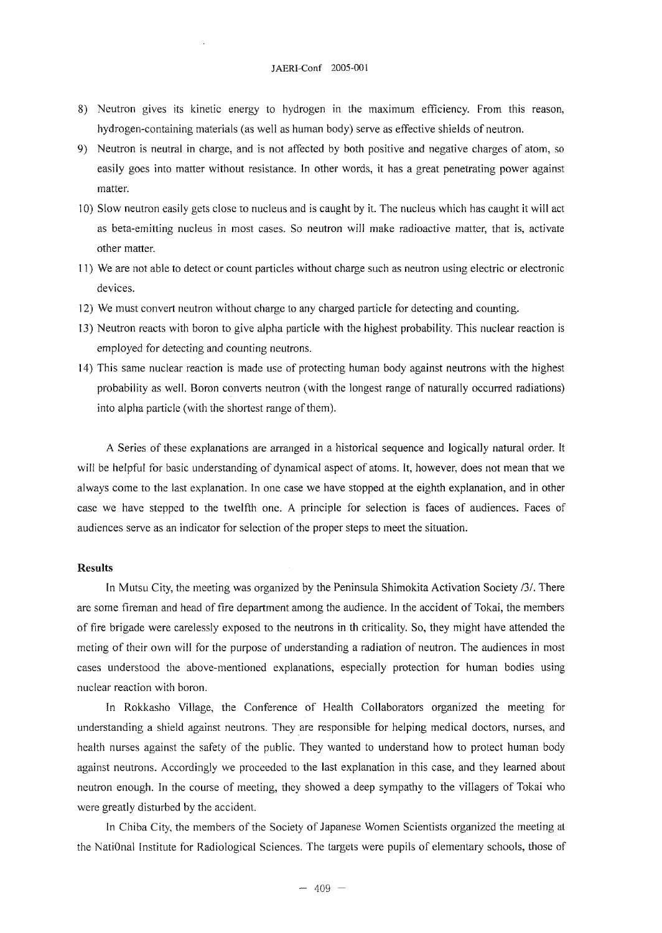- 8) Neutron gives its kinetic energy to hydrogen in the maximum efficiency. From this reason, hydrogen-containing materials (as well as human body) serve as effective shields of neutron.
- 9) Neutron is neutral in charge, and is not affected by both positive and negative charges of atom, so easily goes into matter without resistance. In other words, it has a great penetrating power against matter.
- 10) Slow neutron easily gets close to nucleus and is caught by it. The nucleus which has caught it will act as beta-emitting nucleus in most cases. So neutron will make radioactive matter, that is, activate other matter.
- 11) We are not able to detect or count particles without charge such as neutron using electric or electronic devices.
- 12) We must convert neutron without charge to any charged particle for detecting and counting.
- 13) Neutron reacts with boron to give alpha particle with the highest probability. This nuclear reaction is employed for detecting and counting neutrons.
- 14) This same nuclear reaction is made use of protecting human body against neutrons with the highest probability as well. Boron converts neutron (with the longest range of naturally occurred radiations) into alpha particle (with the shortest range of them).

A Series of these explanations are arranged in a historical sequence and logically natural order. It will be helpful for basic understanding of dynamical aspect of atoms. It, however, does not mean that we always come to the last explanation. In one case we have stopped at the eighth explanation, and in other case we have stepped to the twelfth one. A principle for selection is faces of audiences. Faces of audiences serve as an indicator for selection of the proper steps to meet the situation.

# Results

In Mutsu City, the meeting was organized by the Peninsula Shimokita Activation Society /3/. There are some fireman and head of fire department among the audience. In the accident of Tokai, the members of fire brigade were carelessly exposed to the neutrons in th criticality. So, they might have attended the meting of their own will for the purpose of understanding a radiation of neutron. The audiences in most cases understood the above-mentioned explanations, especially protection for human bodies using nuclear reaction with boron.

In Rokkasho Village, the Conference of Health Collaborators organized the meeting for understanding a shield against neutrons. They are responsible for helping medical doctors, nurses, and health nurses against the safety of the public. They wanted to understand how to protect human body against neutrons. Accordingly we proceeded to the last explanation in this case, and they learned about neutron enough. In the course of meeting, they showed a deep sympathy to the villagers of Tokai who were greatly disturbed by the accident.

In Chiba City, the members of the Society of Japanese Women Scientists organized the meeting at the NatiOnal Institute for Radiological Sciences. The targets were pupils of elementary schools, those of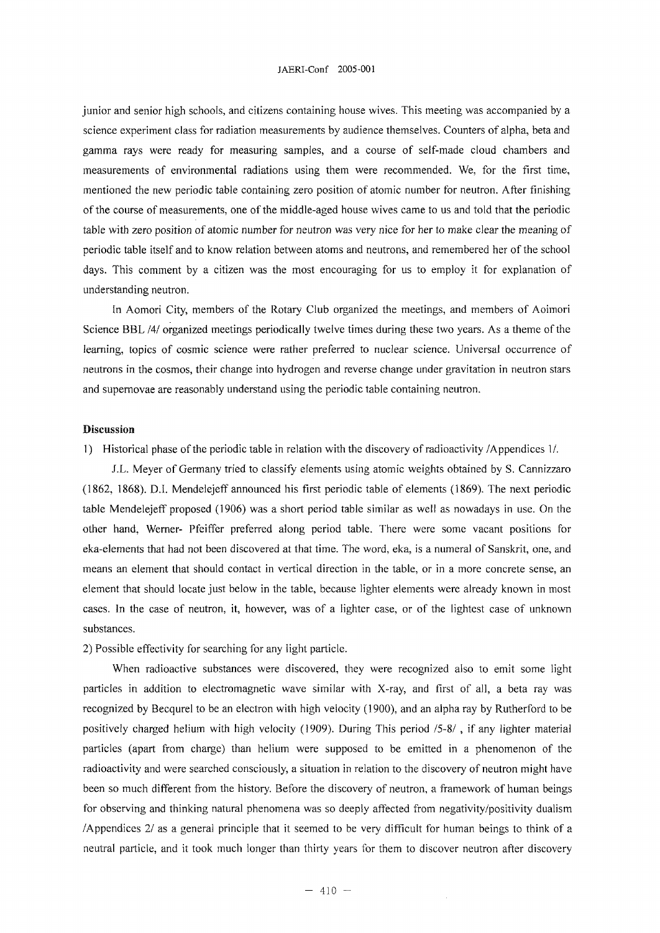junior and senior high schools, and citizens containing house wives. This meeting was accompanied by a science experiment class for radiation measurements by audience themselves. Counters of alpha, beta and gamma rays were ready for measuring samples, and a course of self-made cloud chambers and measurements of environmental radiations using them were recommended. We, for the first time, mentioned the new periodic table containing zero position of atomic number for neutron. After finishing of the course of measurements, one of the middle-aged house wives came to us and told that the periodic table with zero position of atomic number for neutron was very nice for her to make clear the meaning of periodic table itself and to know relation between atoms and neutrons, and remembered her of the school days. This comment by a citizen was the most encouraging for us to employ it for explanation of understanding neutron.

In Aomori City, members of the Rotary Club organized the meetings, and members of Aoimori Science BBL*IAI* organized meetings periodically twelve times during these two years. As a theme of the learning, topics of cosmic science were rather preferred to nuclear science. Universal occurrence of neutrons in the cosmos, their change into hydrogen and reverse change under gravitation in neutron stars and supernovae are reasonably understand using the periodic table containing neutron.

#### Discussion

1) Historical phase of the periodic table in relation with the discovery of radioactivity /Appendices 1/.

J.L. Meyer of Germany tried to classify elements using atomic weights obtained by S. Cannizzaro (1862, 1868). D.I. Mendelejeff announced his first periodic table of elements (1869). The next periodic table Mendelejeff proposed (1906) was a short period table similar as well as nowadays in use. On the other hand, Werner- Pfeiffer preferred along period table. There were some vacant positions for eka-elements that had not been discovered at that time. The word, eka, is a numeral of Sanskrit, one, and means an element that should contact in vertical direction in the table, or in a more concrete sense, an element that should locate just below in the table, because lighter elements were already known in most cases. In the case of neutron, it, however, was of a lighter case, or of the lightest case of unknown substances.

2) Possible effectivity for searching for any light particle.

When radioactive substances were discovered, they were recognized also to emit some light particles in addition to electromagnetic wave similar with X-ray, and first of all, a beta ray was recognized by Becqurel to be an electron with high velocity (1900), and an alpha ray by Rutherford to be positively charged helium with high velocity (1909). During This period /5-8/ , if any lighter material particles (apart from charge) than helium were supposed to be emitted in a phenomenon of the radioactivity and were searched consciously, a situation in relation to the discovery of neutron might have been so much different from the history. Before the discovery of neutron, a framework of human beings for observing and thinking natural phenomena was so deeply affected from negativity/positivity dualism /Appendices 2/ as a general principle that it seemed to be very difficult for human beings to think of a neutral particle, and it took much longer than thirty years for them to discover neutron after discovery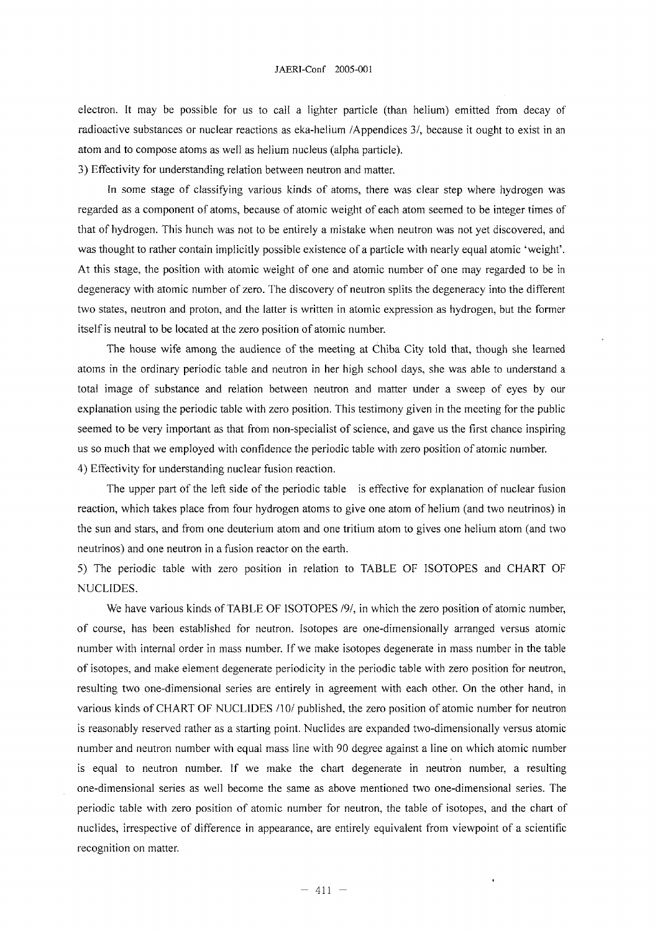electron. It may be possible for us to call a lighter particle (than helium) emitted from decay of radioactive substances or nuclear reactions as eka-helium /Appendices 3/, because it ought to exist in an atom and to compose atoms as well as helium nucleus (alpha particle).

3) Effectivity for understanding relation between neutron and matter.

In some stage of classifying various kinds of atoms, there was clear step where hydrogen was regarded as a component of atoms, because of atomic weight of each atom seemed to be integer times of that of hydrogen. This hunch was not to be entirely a mistake when neutron was not yet discovered, and was thought to rather contain implicitly possible existence of a particle with nearly equal atomic 'weight'. At this stage, the position with atomic weight of one and atomic number of one may regarded to be in degeneracy with atomic number of zero. The discovery of neutron splits the degeneracy into the different two states, neutron and proton, and the latter is written in atomic expression as hydrogen, but the former itself is neutral to be located at the zero position of atomic number.

The house wife among the audience of the meeting at Chiba City told that, though she learned atoms in the ordinary periodic table and neutron in her high school days, she was able to understand a total image of substance and relation between neutron and matter under a sweep of eyes by our explanation using the periodic table with zero position. This testimony given in the meeting for the public seemed to be very important as that from non-specialist of science, and gave us the first chance inspiring us so much that we employed with confidence the periodic table with zero position of atomic number. 4) Effectivity for understanding nuclear fusion reaction.

The upper part of the left side of the periodic table is effective for explanation of nuclear fusion reaction, which takes place from four hydrogen atoms to give one atom of helium (and two neutrinos) in the sun and stars, and from one deuterium atom and one tritium atom to gives one helium atom (and two neutrinos) and one neutron in a fusion reactor on the earth.

5) The periodic table with zero position in relation to TABLE OF ISOTOPES and CHART OF NUCLIDES.

We have various kinds of TABLE OF ISOTOPES *191,* in which the zero position of atomic number, of course, has been established for neutron. Isotopes are one-dimensionally arranged versus atomic number with internal order in mass number. If we make isotopes degenerate in mass number in the table of isotopes, and make element degenerate periodicity in the periodic table with zero position for neutron, resulting two one-dimensional series are entirely in agreement with each other. On the other hand, in various kinds of CHART OF NUCLIDES /10/ published, the zero position of atomic number for neutron is reasonably reserved rather as a starting point. Nuclides are expanded two-dimensionally versus atomic number and neutron number with equal mass line with 90 degree against a line on which atomic number is equal to neutron number. If we make the chart degenerate in neutron number, a resulting one-dimensional series as well become the same as above mentioned two one-dimensional series. The periodic table with zero position of atomic number for neutron, the table of isotopes, and the chart of nuclides, irrespective of difference in appearance, are entirely equivalent from viewpoint of a scientific recognition on matter.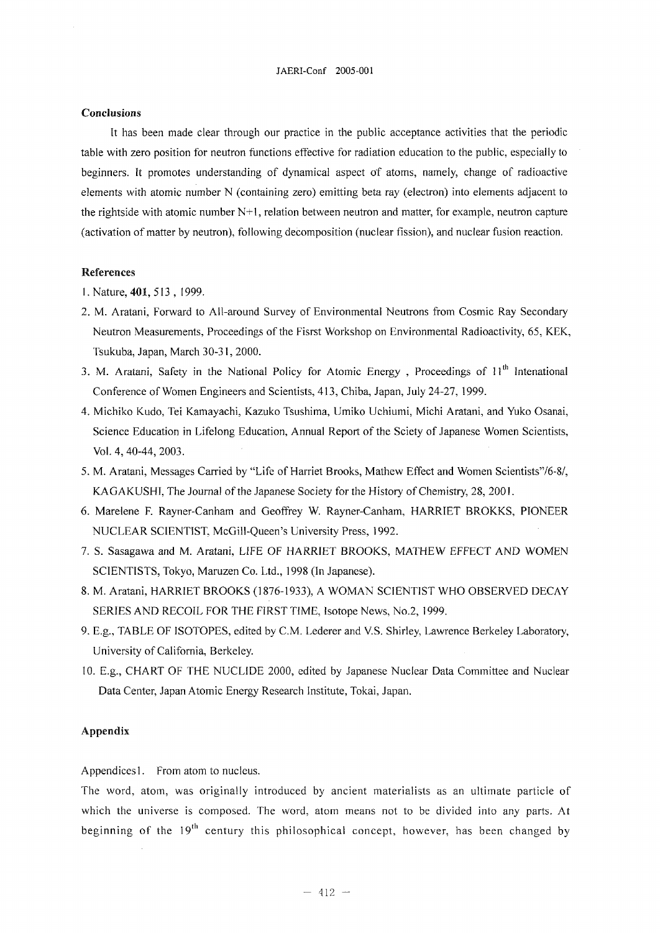### **Conclusions**

It has been made clear through our practice in the public acceptance activities that the periodic table with zero position for neutron functions effective for radiation education to the public, especially to beginners. It promotes understanding of dynamical aspect of atoms, namely, change of radioactive elements with atomic number N (containing zero) emitting beta ray (electron) into elements adjacent to the rightside with atomic number N+l, relation between neutron and matter, for example, neutron capture (activation of matter by neutron), following decomposition (nuclear fission), and nuclear fusion reaction.

# References

- 1. Nature, **401,** 513, 1999.
- 2. M. Aratani, Forward to All-around Survey of Environmental Neutrons from Cosmic Ray Secondary Neutron Measurements, Proceedings of the Fisrst Workshop on Environmental Radioactivity, 65, KEK, Tsukuba, Japan, March 30-31, 2000.
- 3. M. Aratani, Safety in the National Policy for Atomic Energy, Proceedings of 11<sup>th</sup> Intenational Conference of Women Engineers and Scientists, 413, Chiba, Japan, July 24-27, 1999.
- 4. Michiko Kudo, Tei Kamayachi, Kazuko Tsushima, Umiko Uchiumi, Michi Aratani, and Yuko Osanai, Science Education in Lifelong Education, Annual Report of the Sciety of Japanese Women Scientists, Vol. 4, 40-44, 2003.
- 5. M. Aratani, Messages Carried by "Life of Harriet Brooks, Mathew Effect and Women Scientists'76-8/, KAGAKUSHI, The Journal of the Japanese Society for the History of Chemistry, 28, 2001.
- 6. Marelene F. Rayner-Canham and Geoffrey W. Rayner-Canham, HARRIET BROKKS, PIONEER NUCLEAR SCIENTIST, McGill-Queen's University Press, 1992.
- 7. S. Sasagawa and M. Aratani, LIFE OF HARRIET BROOKS, MATHEW EFFECT AND WOMEN SCIENTISTS, Tokyo, Maruzen Co. Ltd., 1998 (In Japanese).
- 8. M. Aratani, HARRIET BROOKS (1876-1933), A WOMAN SCIENTIST WHO OBSERVED DECAY SERIES AND RECOIL FOR THE FIRST TIME, Isotope News, No.2, 1999.
- 9. E.g., TABLE OF ISOTOPES, edited by C.M. Lederer and V.S. Shirley, Lawrence Berkeley Laboratory, University of California, Berkeley.
- 10. E.g., CHART OF THE NUCLIDE 2000, edited by Japanese Nuclear Data Committee and Nuclear Data Center, Japan Atomic Energy Research Institute, Tokai, Japan.

### Appendix

Appendices 1. From atom to nucleus.

The word, atom, was originally introduced by ancient materialists as an ultimate particle of which the universe is composed. The word, atom means not to be divided into any parts. At beginning of the 19<sup>th</sup> century this philosophical concept, however, has been changed by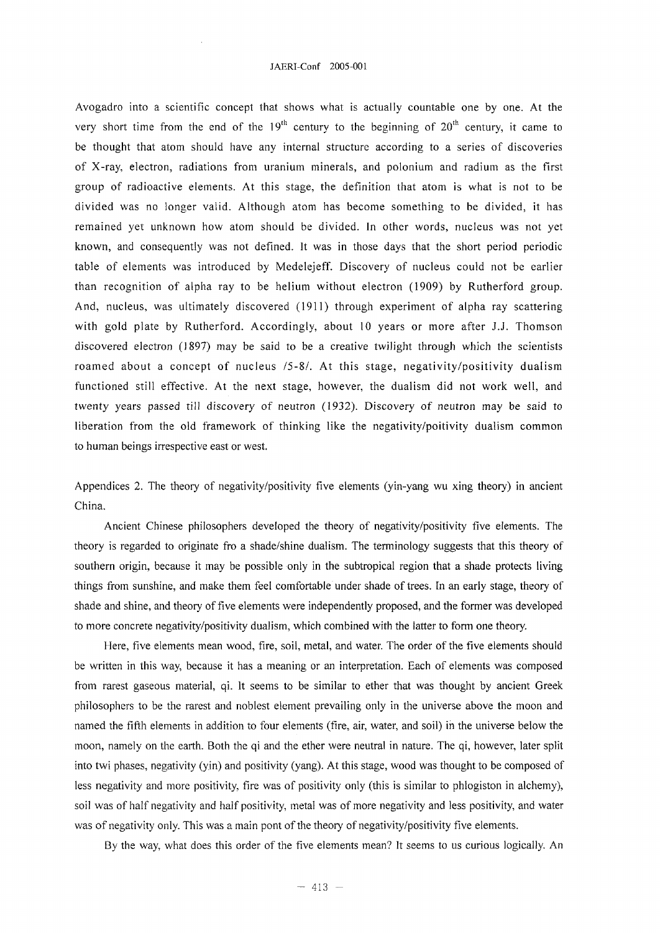Avogadro into a scientific concept that shows what is actually countable one by one. At the very short time from the end of the  $19<sup>th</sup>$  century to the beginning of  $20<sup>th</sup>$  century, it came to be thought that atom should have any internal structure according to a series of discoveries of X-ray, electron, radiations from uranium minerals, and polonium and radium as the first group of radioactive elements. At this stage, the definition that atom is what is not to be divided was no longer valid. Although atom has become something to be divided, it has remained yet unknown how atom should be divided. In other words, nucleus was not yet known, and consequently was not defined. It was in those days that the short period periodic table of elements was introduced by Medelejeff. Discovery of nucleus could not be earlier than recognition of alpha ray to be helium without electron (1909) by Rutherford group. And, nucleus, was ultimately discovered (1911) through experiment of alpha ray scattering with gold plate by Rutherford. Accordingly, about 10 years or more after J.J. Thomson discovered electron (1897) may be said to be a creative twilight through which the scientists roamed about a concept of nucleus /5-8/. At this stage, negativity/positivity dualism functioned still effective. At the next stage, however, the dualism did not work well, and twenty years passed till discovery of neutron (1932). Discovery of neutron may be said to liberation from the old framework of thinking like the negativity/poitivity dualism common to human beings irrespective east or west.

Appendices 2. The theory of negativity/positivity five elements (yin-yang wu xing theory) in ancient China.

Ancient Chinese philosophers developed the theory of negativity/positivity five elements. The theory is regarded to originate fro a shade/shine dualism. The terminology suggests that this theory of southern origin, because it may be possible only in the subtropical region that a shade protects living things from sunshine, and make them feel comfortable under shade of trees. In an early stage, theory of shade and shine, and theory of five elements were independently proposed, and the former was developed to more concrete negativity/positivity dualism, which combined with the latter to form one theory.

Here, five elements mean wood, fire, soil, metal, and water. The order of the five elements should be written in this way, because it has a meaning or an interpretation. Each of elements was composed from rarest gaseous material, qi. It seems to be similar to ether that was thought by ancient Greek philosophers to be the rarest and noblest element prevailing only in the universe above the moon and named the fifth elements in addition to four elements (fire, air, water, and soil) in the universe below the moon, namely on the earth. Both the qi and the ether were neutral in nature. The qi, however, later split into twi phases, negativity (yin) and positivity (yang). At this stage, wood was thought to be composed of less negativity and more positivity, fire was of positivity only (this is similar to phlogiston in alchemy), soil was of half negativity and half positivity, metal was of more negativity and less positivity, and water was of negativity only. This was a main pont of the theory of negativity/positivity five elements.

By the way, what does this order of the five elements mean? It seems to us curious logically. An